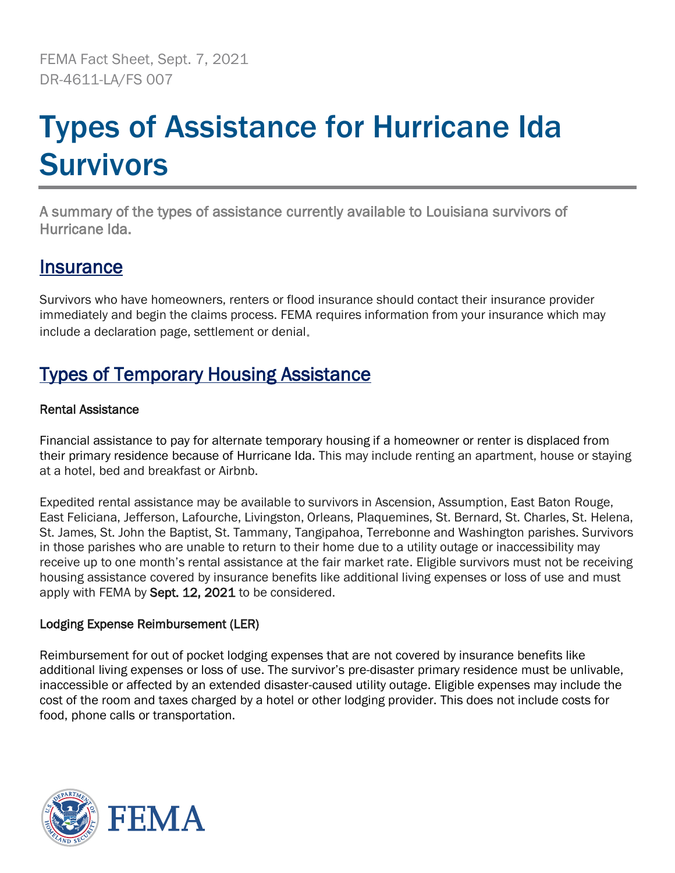FEMA Fact Sheet, Sept. 7, 2021 DR-4611-LA/FS 007

# Types of Assistance for Hurricane Ida **Survivors**

A summary of the types of assistance currently available to Louisiana survivors of Hurricane Ida.

## **Insurance**

Survivors who have homeowners, renters or flood insurance should contact their insurance provider immediately and begin the claims process. FEMA requires information from your insurance which may include a declaration page, settlement or denial.

# Types of Temporary Housing Assistance

## Rental Assistance

Financial assistance to pay for alternate temporary housing if a homeowner or renter is displaced from their primary residence because of Hurricane Ida. This may include renting an apartment, house or staying at a hotel, bed and breakfast or Airbnb.

Expedited rental assistance may be available to survivors in Ascension, Assumption, East Baton Rouge, East Feliciana, Jefferson, Lafourche, Livingston, Orleans, Plaquemines, St. Bernard, St. Charles, St. Helena, St. James, St. John the Baptist, St. Tammany, Tangipahoa, Terrebonne and Washington parishes. Survivors in those parishes who are unable to return to their home due to a utility outage or inaccessibility may receive up to one month's rental assistance at the fair market rate. Eligible survivors must not be receiving housing assistance covered by insurance benefits like additional living expenses or loss of use and must apply with FEMA by Sept. 12, 2021 to be considered.

## Lodging Expense Reimbursement (LER)

Reimbursement for out of pocket lodging expenses that are not covered by insurance benefits like additional living expenses or loss of use. The survivor's pre-disaster primary residence must be unlivable, inaccessible or affected by an extended disaster-caused utility outage. Eligible expenses may include the cost of the room and taxes charged by a hotel or other lodging provider. This does not include costs for food, phone calls or transportation.

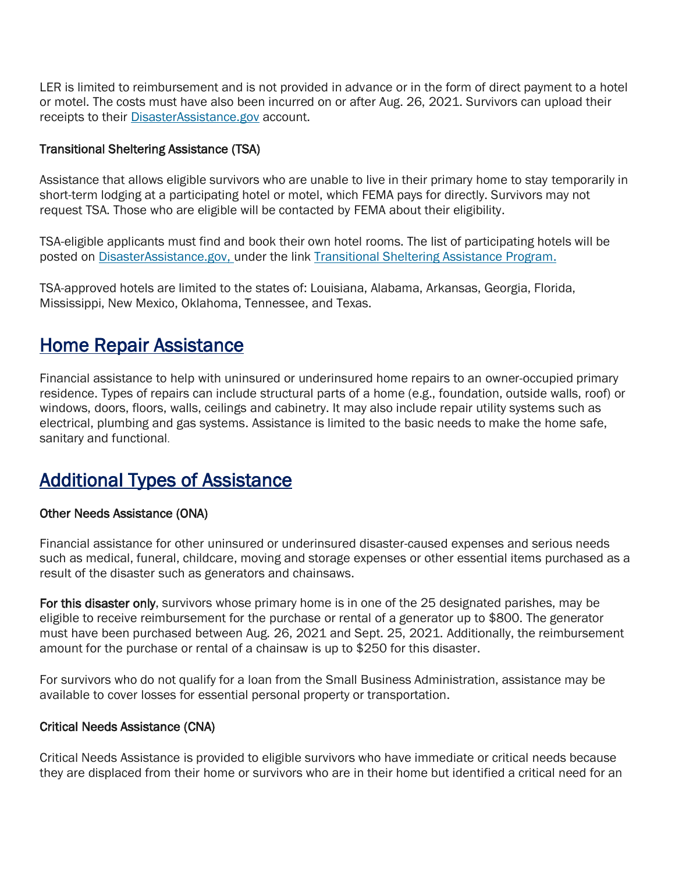LER is limited to reimbursement and is not provided in advance or in the form of direct payment to a hotel or motel. The costs must have also been incurred on or after Aug. 26, 2021. Survivors can upload their receipts to their [DisasterAssistance.gov](http://www.disasterassistance.gov/) account.

## Transitional Sheltering Assistance (TSA)

Assistance that allows eligible survivors who are unable to live in their primary home to stay temporarily in short-term lodging at a participating hotel or motel, which FEMA pays for directly. Survivors may not request TSA. Those who are eligible will be contacted by FEMA about their eligibility.

TSA-eligible applicants must find and book their own hotel rooms. The list of participating hotels will be posted on [DisasterAssistance.gov, u](http://www.disasterassistance.gov/)nder the link [Transitional Sheltering Assistance Program.](http://www.femaevachotels.com/)

TSA-approved hotels are limited to the states of: Louisiana, Alabama, Arkansas, Georgia, Florida, Mississippi, New Mexico, Oklahoma, Tennessee, and Texas.

## Home Repair Assistance

Financial assistance to help with uninsured or underinsured home repairs to an owner-occupied primary residence. Types of repairs can include structural parts of a home (e.g., foundation, outside walls, roof) or windows, doors, floors, walls, ceilings and cabinetry. It may also include repair utility systems such as electrical, plumbing and gas systems. Assistance is limited to the basic needs to make the home safe, sanitary and functional.

## Additional Types of Assistance

## Other Needs Assistance (ONA)

Financial assistance for other uninsured or underinsured disaster-caused expenses and serious needs such as medical, funeral, childcare, moving and storage expenses or other essential items purchased as a result of the disaster such as generators and chainsaws.

For this disaster only, survivors whose primary home is in one of the 25 designated parishes, may be eligible to receive reimbursement for the purchase or rental of a generator up to \$800. The generator must have been purchased between Aug. 26, 2021 and Sept. 25, 2021. Additionally, the reimbursement amount for the purchase or rental of a chainsaw is up to \$250 for this disaster.

For survivors who do not qualify for a loan from the Small Business Administration, assistance may be available to cover losses for essential personal property or transportation.

## Critical Needs Assistance (CNA)

Critical Needs Assistance is provided to eligible survivors who have immediate or critical needs because they are displaced from their home or survivors who are in their home but identified a critical need for an